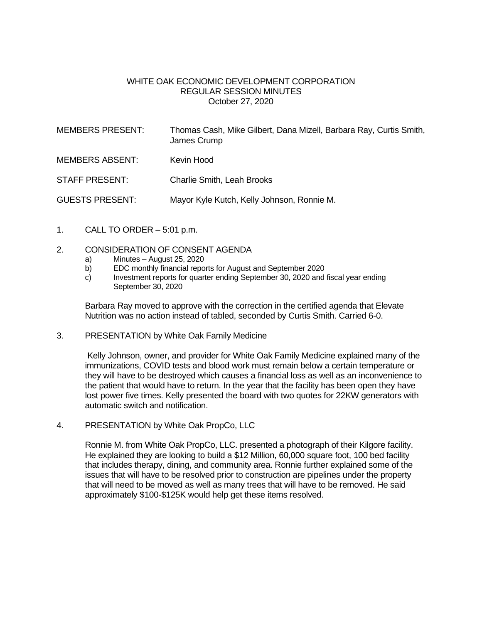### WHITE OAK ECONOMIC DEVELOPMENT CORPORATION REGULAR SESSION MINUTES October 27, 2020

| <b>MEMBERS PRESENT:</b> | Thomas Cash, Mike Gilbert, Dana Mizell, Barbara Ray, Curtis Smith,<br>James Crump |
|-------------------------|-----------------------------------------------------------------------------------|
| <b>MEMBERS ABSENT:</b>  | Kevin Hood                                                                        |
| STAFF PRESENT:          | <b>Charlie Smith, Leah Brooks</b>                                                 |
| <b>GUESTS PRESENT:</b>  | Mayor Kyle Kutch, Kelly Johnson, Ronnie M.                                        |

1. CALL TO ORDER – 5:01 p.m.

#### 2. CONSIDERATION OF CONSENT AGENDA

- a) Minutes August 25, 2020
- b) EDC monthly financial reports for August and September 2020
- c) Investment reports for quarter ending September 30, 2020 and fiscal year ending September 30, 2020

Barbara Ray moved to approve with the correction in the certified agenda that Elevate Nutrition was no action instead of tabled, seconded by Curtis Smith. Carried 6-0.

3. PRESENTATION by White Oak Family Medicine

Kelly Johnson, owner, and provider for White Oak Family Medicine explained many of the immunizations, COVID tests and blood work must remain below a certain temperature or they will have to be destroyed which causes a financial loss as well as an inconvenience to the patient that would have to return. In the year that the facility has been open they have lost power five times. Kelly presented the board with two quotes for 22KW generators with automatic switch and notification.

4. PRESENTATION by White Oak PropCo, LLC

Ronnie M. from White Oak PropCo, LLC. presented a photograph of their Kilgore facility. He explained they are looking to build a \$12 Million, 60,000 square foot, 100 bed facility that includes therapy, dining, and community area. Ronnie further explained some of the issues that will have to be resolved prior to construction are pipelines under the property that will need to be moved as well as many trees that will have to be removed. He said approximately \$100-\$125K would help get these items resolved.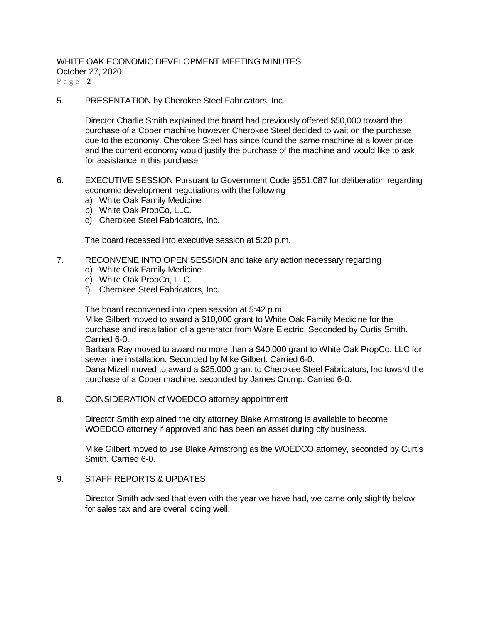# WHITE OAK ECONOMIC DEVELOPMENT MEETING MINUTES

October 27, 2020

P a g e | **2**

5. PRESENTATION by Cherokee Steel Fabricators, Inc.

Director Charlie Smith explained the board had previously offered \$50,000 toward the purchase of a Coper machine however Cherokee Steel decided to wait on the purchase due to the economy. Cherokee Steel has since found the same machine at a lower price and the current economy would justify the purchase of the machine and would like to ask for assistance in this purchase.

- 6. EXECUTIVE SESSION Pursuant to Government Code §551.087 for deliberation regarding economic development negotiations with the following
	- a) White Oak Family Medicine
	- b) White Oak PropCo, LLC.
	- c) Cherokee Steel Fabricators, Inc.

The board recessed into executive session at 5:20 p.m.

- 7. RECONVENE INTO OPEN SESSION and take any action necessary regarding
	- d) White Oak Family Medicine
	- e) White Oak PropCo, LLC.
	- f) Cherokee Steel Fabricators, Inc.

The board reconvened into open session at 5:42 p.m. Mike Gilbert moved to award a \$10,000 grant to White Oak Family Medicine for the purchase and installation of a generator from Ware Electric. Seconded by Curtis Smith.

Carried 6-0.

Barbara Ray moved to award no more than a \$40,000 grant to White Oak PropCo, LLC for sewer line installation. Seconded by Mike Gilbert. Carried 6-0.

Dana Mizell moved to award a \$25,000 grant to Cherokee Steel Fabricators, Inc toward the purchase of a Coper machine, seconded by James Crump. Carried 6-0.

8. CONSIDERATION of WOEDCO attorney appointment

Director Smith explained the city attorney Blake Armstrong is available to become WOEDCO attorney if approved and has been an asset during city business.

Mike Gilbert moved to use Blake Armstrong as the WOEDCO attorney, seconded by Curtis Smith. Carried 6-0.

### 9. STAFF REPORTS & UPDATES

Director Smith advised that even with the year we have had, we came only slightly below for sales tax and are overall doing well.